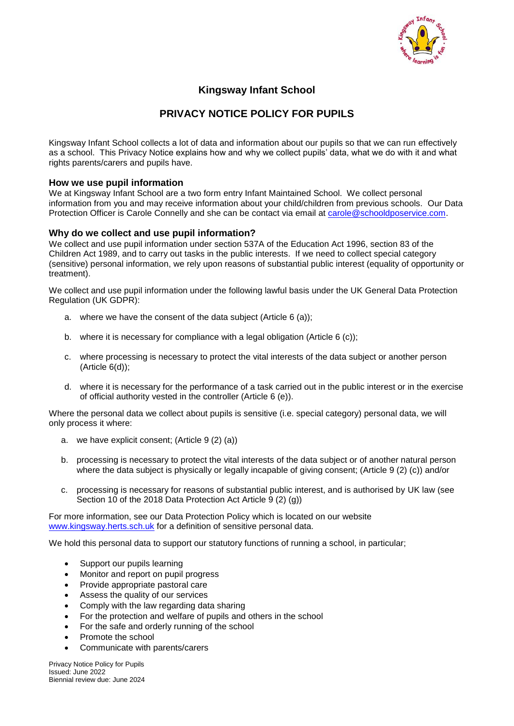

## **Kingsway Infant School**

# **PRIVACY NOTICE POLICY FOR PUPILS**

Kingsway Infant School collects a lot of data and information about our pupils so that we can run effectively as a school. This Privacy Notice explains how and why we collect pupils' data, what we do with it and what rights parents/carers and pupils have.

#### **How we use pupil information**

We at Kingsway Infant School are a two form entry Infant Maintained School. We collect personal information from you and may receive information about your child/children from previous schools. Our Data Protection Officer is Carole Connelly and she can be contact via email at [carole@schooldposervice.com.](mailto:carole@schooldposervice.com)

#### **Why do we collect and use pupil information?**

We collect and use pupil information under section 537A of the Education Act 1996, section 83 of the Children Act 1989, and to carry out tasks in the public interests. If we need to collect special category (sensitive) personal information, we rely upon reasons of substantial public interest (equality of opportunity or treatment).

We collect and use pupil information under the following lawful basis under the UK General Data Protection Regulation (UK GDPR):

- a. where we have the consent of the data subject (Article 6 (a));
- b. where it is necessary for compliance with a legal obligation (Article 6 (c));
- c. where processing is necessary to protect the vital interests of the data subject or another person (Article 6(d));
- d. where it is necessary for the performance of a task carried out in the public interest or in the exercise of official authority vested in the controller (Article 6 (e)).

Where the personal data we collect about pupils is sensitive (i.e. special category) personal data, we will only process it where:

- a. we have explicit consent; (Article 9 (2) (a))
- b. processing is necessary to protect the vital interests of the data subject or of another natural person where the data subject is physically or legally incapable of giving consent; (Article 9 (2) (c)) and/or
- c. processing is necessary for reasons of substantial public interest, and is authorised by UK law (see Section 10 of the 2018 Data Protection Act Article 9 (2) (g))

For more information, see our Data Protection Policy which is located on our website [www.kingsway.herts.sch.uk](http://www.kingsway.herts.sch.uk/) for a definition of sensitive personal data.

We hold this personal data to support our statutory functions of running a school, in particular;

- Support our pupils learning
- Monitor and report on pupil progress
- Provide appropriate pastoral care
- Assess the quality of our services
- Comply with the law regarding data sharing
- For the protection and welfare of pupils and others in the school
- For the safe and orderly running of the school
- Promote the school
- Communicate with parents/carers

Privacy Notice Policy for Pupils Issued: June 2022 Biennial review due: June 2024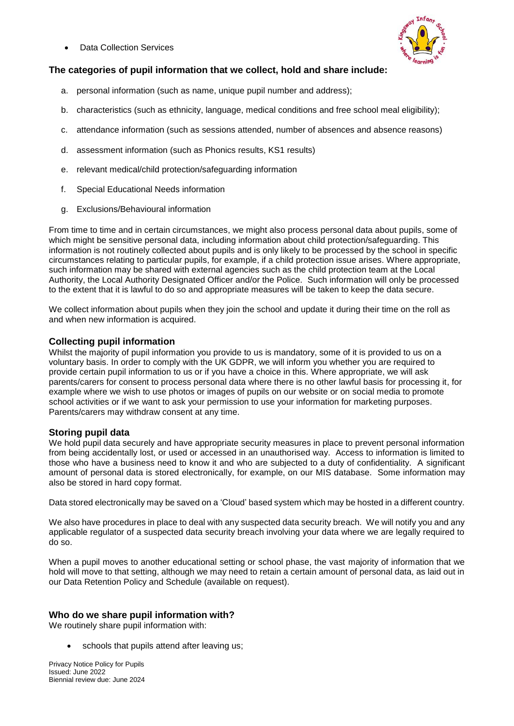Data Collection Services



## **The categories of pupil information that we collect, hold and share include:**

- a. personal information (such as name, unique pupil number and address);
- b. characteristics (such as ethnicity, language, medical conditions and free school meal eligibility);
- c. attendance information (such as sessions attended, number of absences and absence reasons)
- d. assessment information (such as Phonics results, KS1 results)
- e. relevant medical/child protection/safeguarding information
- f. Special Educational Needs information
- g. Exclusions/Behavioural information

From time to time and in certain circumstances, we might also process personal data about pupils, some of which might be sensitive personal data, including information about child protection/safeguarding. This information is not routinely collected about pupils and is only likely to be processed by the school in specific circumstances relating to particular pupils, for example, if a child protection issue arises. Where appropriate, such information may be shared with external agencies such as the child protection team at the Local Authority, the Local Authority Designated Officer and/or the Police. Such information will only be processed to the extent that it is lawful to do so and appropriate measures will be taken to keep the data secure.

We collect information about pupils when they join the school and update it during their time on the roll as and when new information is acquired.

### **Collecting pupil information**

Whilst the majority of pupil information you provide to us is mandatory, some of it is provided to us on a voluntary basis. In order to comply with the UK GDPR, we will inform you whether you are required to provide certain pupil information to us or if you have a choice in this. Where appropriate, we will ask parents/carers for consent to process personal data where there is no other lawful basis for processing it, for example where we wish to use photos or images of pupils on our website or on social media to promote school activities or if we want to ask your permission to use your information for marketing purposes. Parents/carers may withdraw consent at any time.

### **Storing pupil data**

We hold pupil data securely and have appropriate security measures in place to prevent personal information from being accidentally lost, or used or accessed in an unauthorised way. Access to information is limited to those who have a business need to know it and who are subjected to a duty of confidentiality. A significant amount of personal data is stored electronically, for example, on our MIS database. Some information may also be stored in hard copy format.

Data stored electronically may be saved on a 'Cloud' based system which may be hosted in a different country.

We also have procedures in place to deal with any suspected data security breach. We will notify you and any applicable regulator of a suspected data security breach involving your data where we are legally required to do so.

When a pupil moves to another educational setting or school phase, the vast majority of information that we hold will move to that setting, although we may need to retain a certain amount of personal data, as laid out in our Data Retention Policy and Schedule (available on request).

### **Who do we share pupil information with?**

We routinely share pupil information with:

schools that pupils attend after leaving us;

Privacy Notice Policy for Pupils Issued: June 2022 Biennial review due: June 2024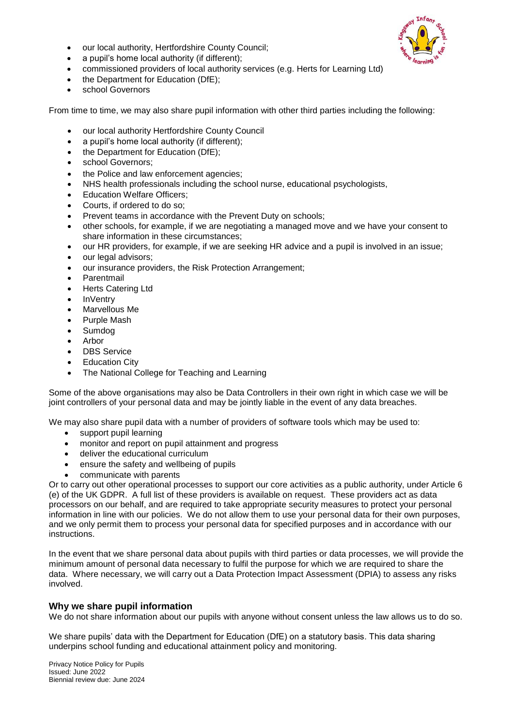• our local authority, Hertfordshire County Council:



- a pupil's home local authority (if different);
- commissioned providers of local authority services (e.g. Herts for Learning Ltd)
- the Department for Education (DfE);
- school Governors

From time to time, we may also share pupil information with other third parties including the following:

- our local authority Hertfordshire County Council
- a pupil's home local authority (if different):
- the Department for Education (DfE);
- school Governors;
- the Police and law enforcement agencies;
- NHS health professionals including the school nurse, educational psychologists,
- Education Welfare Officers;
- Courts, if ordered to do so;
- Prevent teams in accordance with the Prevent Duty on schools;
- other schools, for example, if we are negotiating a managed move and we have your consent to share information in these circumstances;
- our HR providers, for example, if we are seeking HR advice and a pupil is involved in an issue;
- our legal advisors:
- our insurance providers, the Risk Protection Arrangement;
- Parentmail
- Herts Catering Ltd
- **InVentry**
- Marvellous Me
- Purple Mash
- Sumdog
- Arbor
- DBS Service
- Education City
- The National College for Teaching and Learning

Some of the above organisations may also be Data Controllers in their own right in which case we will be joint controllers of your personal data and may be jointly liable in the event of any data breaches.

We may also share pupil data with a number of providers of software tools which may be used to:

- support pupil learning
- monitor and report on pupil attainment and progress
- deliver the educational curriculum
- ensure the safety and wellbeing of pupils
- communicate with parents

Or to carry out other operational processes to support our core activities as a public authority, under Article 6 (e) of the UK GDPR. A full list of these providers is available on request. These providers act as data processors on our behalf, and are required to take appropriate security measures to protect your personal information in line with our policies. We do not allow them to use your personal data for their own purposes, and we only permit them to process your personal data for specified purposes and in accordance with our instructions.

In the event that we share personal data about pupils with third parties or data processes, we will provide the minimum amount of personal data necessary to fulfil the purpose for which we are required to share the data. Where necessary, we will carry out a Data Protection Impact Assessment (DPIA) to assess any risks involved.

#### **Why we share pupil information**

We do not share information about our pupils with anyone without consent unless the law allows us to do so.

We share pupils' data with the Department for Education (DfE) on a statutory basis. This data sharing underpins school funding and educational attainment policy and monitoring.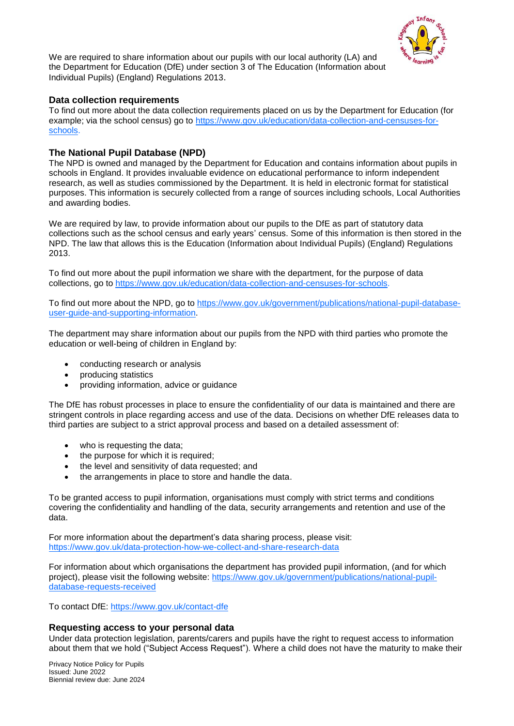

We are required to share information about our pupils with our local authority (LA) and the Department for Education (DfE) under section 3 of The Education (Information about Individual Pupils) (England) Regulations 2013.

#### **Data collection requirements**

To find out more about the data collection requirements placed on us by the Department for Education (for example; via the school census) go to [https://www.gov.uk/education/data-collection-and-censuses-for](https://www.gov.uk/education/data-collection-and-censuses-for-schools)[schools.](https://www.gov.uk/education/data-collection-and-censuses-for-schools)

### **The National Pupil Database (NPD)**

The NPD is owned and managed by the Department for Education and contains information about pupils in schools in England. It provides invaluable evidence on educational performance to inform independent research, as well as studies commissioned by the Department. It is held in electronic format for statistical purposes. This information is securely collected from a range of sources including schools, Local Authorities and awarding bodies.

We are required by law, to provide information about our pupils to the DfE as part of statutory data collections such as the school census and early years' census. Some of this information is then stored in the NPD. The law that allows this is the Education (Information about Individual Pupils) (England) Regulations 2013.

To find out more about the pupil information we share with the department, for the purpose of data collections, go to [https://www.gov.uk/education/data-collection-and-censuses-for-schools.](https://www.gov.uk/education/data-collection-and-censuses-for-schools)

To find out more about the NPD, go to [https://www.gov.uk/government/publications/national-pupil-database](https://www.gov.uk/government/publications/national-pupil-database-user-guide-and-supporting-information)[user-guide-and-supporting-information.](https://www.gov.uk/government/publications/national-pupil-database-user-guide-and-supporting-information)

The department may share information about our pupils from the NPD with third parties who promote the education or well-being of children in England by:

- conducting research or analysis
- producing statistics
- providing information, advice or guidance

The DfE has robust processes in place to ensure the confidentiality of our data is maintained and there are stringent controls in place regarding access and use of the data. Decisions on whether DfE releases data to third parties are subject to a strict approval process and based on a detailed assessment of:

- who is requesting the data:
- the purpose for which it is required:
- the level and sensitivity of data requested; and
- the arrangements in place to store and handle the data.

To be granted access to pupil information, organisations must comply with strict terms and conditions covering the confidentiality and handling of the data, security arrangements and retention and use of the data.

For more information about the department's data sharing process, please visit: <https://www.gov.uk/data-protection-how-we-collect-and-share-research-data>

For information about which organisations the department has provided pupil information, (and for which project), please visit the following website: [https://www.gov.uk/government/publications/national-pupil](https://www.gov.uk/government/publications/national-pupil-database-requests-received)[database-requests-received](https://www.gov.uk/government/publications/national-pupil-database-requests-received)

To contact DfE:<https://www.gov.uk/contact-dfe>

#### **Requesting access to your personal data**

Under data protection legislation, parents/carers and pupils have the right to request access to information about them that we hold ("Subject Access Request"). Where a child does not have the maturity to make their

Privacy Notice Policy for Pupils Issued: June 2022 Biennial review due: June 2024